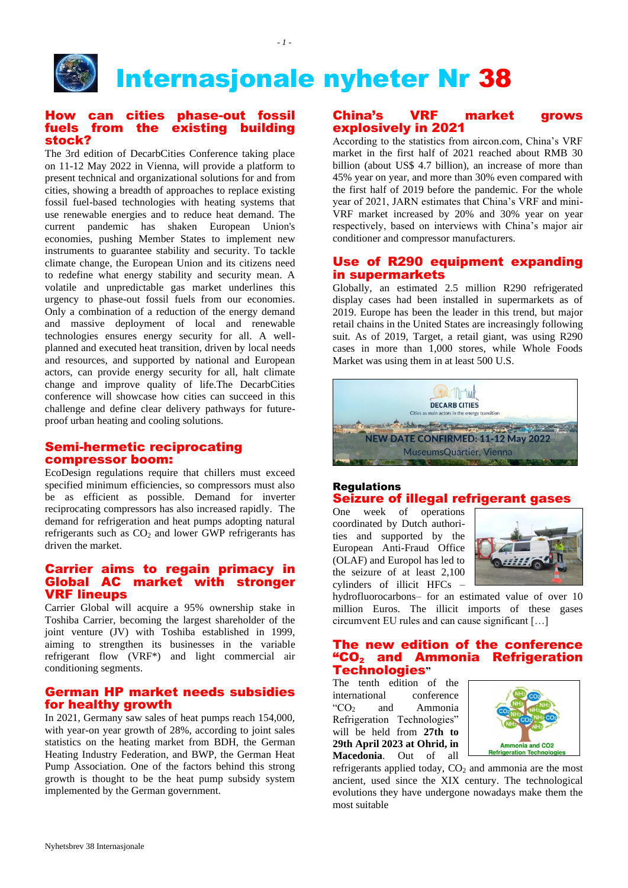

#### How can cities phase-out fossil fuels from the existing building stock?

The 3rd edition of DecarbCities Conference taking place on 11-12 May 2022 in Vienna, will provide a platform to present technical and organizational solutions for and from cities, showing a breadth of approaches to replace existing fossil fuel-based technologies with heating systems that use renewable energies and to reduce heat demand. The current pandemic has shaken European Union's economies, pushing Member States to implement new instruments to guarantee stability and security. To tackle climate change, the European Union and its citizens need to redefine what energy stability and security mean. A volatile and unpredictable gas market underlines this urgency to phase-out fossil fuels from our economies. Only a combination of a reduction of the energy demand and massive deployment of local and renewable technologies ensures energy security for all. A wellplanned and executed heat transition, driven by local needs and resources, and supported by national and European actors, can provide energy security for all, halt climate change and improve quality of life.The DecarbCities conference will showcase how cities can succeed in this challenge and define clear delivery pathways for futureproof urban heating and cooling solutions.

### Semi-hermetic reciprocating compressor boom:

EcoDesign regulations require that chillers must exceed specified minimum efficiencies, so compressors must also be as efficient as possible. Demand for inverter reciprocating compressors has also increased rapidly. The demand for refrigeration and heat pumps adopting natural refrigerants such as  $CO<sub>2</sub>$  and lower GWP refrigerants has driven the market.

### Carrier aims to regain primacy in Global AC market with stronger VRF lineups

Carrier Global will acquire a 95% ownership stake in Toshiba Carrier, becoming the largest shareholder of the joint venture (JV) with Toshiba established in 1999, aiming to strengthen its businesses in the variable refrigerant flow (VRF\*) and light commercial air conditioning segments.

# German HP market needs subsidies for healthy growth

In 2021, Germany saw sales of heat pumps reach 154,000, with year-on year growth of 28%, according to joint sales statistics on the heating market from BDH, the German Heating Industry Federation, and BWP, the German Heat Pump Association. One of the factors behind this strong growth is thought to be the heat pump subsidy system implemented by the German government.

### China's VRF market grows explosively in 2021

According to the statistics from aircon.com, China's VRF market in the first half of 2021 reached about RMB 30 billion (about US\$ 4.7 billion), an increase of more than 45% year on year, and more than 30% even compared with the first half of 2019 before the pandemic. For the whole year of 2021, JARN estimates that China's VRF and mini-VRF market increased by 20% and 30% year on year respectively, based on interviews with China's major air conditioner and compressor manufacturers.

## Use of R290 equipment expanding in supermarkets

Globally, an estimated 2.5 million R290 refrigerated display cases had been installed in supermarkets as of 2019. Europe has been the leader in this trend, but major retail chains in the United States are increasingly following suit. As of 2019, Target, a retail giant, was using R290 cases in more than 1,000 stores, while Whole Foods Market was using them in at least 500 U.S.



# Regulations Seizure of illegal refrigerant gases

One week of operations coordinated by Dutch authorities and supported by the European Anti-Fraud Office (OLAF) and Europol has led to the seizure of at least 2,100 cylinders of illicit HFCs –



hydrofluorocarbons– for an estimated value of over 10 million Euros. The illicit imports of these gases circumvent EU rules and can cause significant […]

### The new edition of the conference "CO<sup>2</sup> and Ammonia Refrigeration Technologies**"**

The tenth edition of the international conference " $CO<sub>2</sub>$  and Ammonia Refrigeration Technologies" will be held from **27th to 29th April 2023 at Ohrid, in Macedonia**. Out of all



refrigerants applied today,  $CO<sub>2</sub>$  and ammonia are the most ancient, used since the XIX century. The technological evolutions they have undergone nowadays make them the most suitable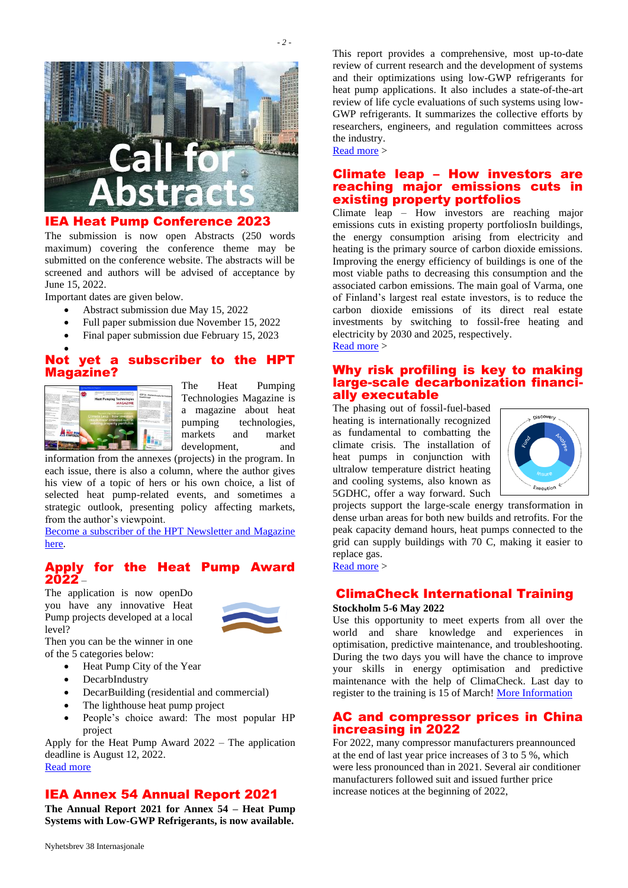

# IEA Heat Pump Conference 2023

The submission is now open Abstracts (250 words maximum) covering the conference theme may be submitted on the conference website. The abstracts will be screened and authors will be advised of acceptance by June 15, 2022.

Important dates are given below.

- Abstract submission due May 15, 2022
- Full paper submission due November 15, 2022
- Final paper submission due February 15, 2023

#### • Not yet a subscriber to the HPT Magazine?



The Heat Pumping Technologies Magazine is a magazine about heat pumping technologies, markets and market development, and

information from the annexes (projects) in the program. In each issue, there is also a column, where the author gives his view of a topic of hers or his own choice, a list of selected heat pump-related events, and sometimes a strategic outlook, presenting policy affecting markets, from the author's viewpoint.

[Become a subscriber of the HPT Newsletter and Magazine](https://heatpumpingtechnologies.org/news/1/56903/?utm_campaign=HPT+Newsletter+February+2022&utm_medium=email&utm_source=lime-newsletter)  [here.](https://heatpumpingtechnologies.org/news/1/56903/?utm_campaign=HPT+Newsletter+February+2022&utm_medium=email&utm_source=lime-newsletter)

## Apply for the Heat Pump Award 2022 –

The application is now openDo you have any innovative Heat Pump projects developed at a local level?



Then you can be the winner in one of the 5 categories below:

- Heat Pump City of the Year
- **DecarbIndustry**
- DecarBuilding (residential and commercial)
- The lighthouse heat pump project
- People's choice award: The most popular HP project

Apply for the Heat Pump Award 2022 – The application deadline is August 12, 2022. [Read more](https://heatpumpingtechnologies.org/news/1/56893/?utm_campaign=HPT+Newsletter+February+2022&utm_medium=email&utm_source=lime-newsletter)

### IEA Annex 54 Annual Report 2021

**The Annual Report 2021 for Annex 54 – Heat Pump Systems with Low-GWP Refrigerants, is now available.**

This report provides a comprehensive, most up-to-date review of current research and the development of systems and their optimizations using low-GWP refrigerants for heat pump applications. It also includes a state-of-the-art review of life cycle evaluations of such systems using low-GWP refrigerants. It summarizes the collective efforts by researchers, engineers, and regulation committees across the industry.

[Read more](https://heatpumpingtechnologies.org/news/63/470/?utm_campaign=HPT+Newsletter+February+2022&utm_medium=email&utm_source=lime-newsletter) >

### Climate leap – How investors are reaching major emissions cuts in existing property portfolios

Climate leap – How investors are reaching major emissions cuts in existing property portfoliosIn buildings, the energy consumption arising from electricity and heating is the primary source of carbon dioxide emissions. Improving the energy efficiency of buildings is one of the most viable paths to decreasing this consumption and the associated carbon emissions. The main goal of Varma, one of Finland's largest real estate investors, is to reduce the carbon dioxide emissions of its direct real estate investments by switching to fossil-free heating and electricity by 2030 and 2025, respectively. [Read more](https://heatpumpingtechnologies.org/news/1/56943/?utm_campaign=HPT+Newsletter+February+2022&utm_medium=email&utm_source=lime-newsletter) >

## Why risk profiling is key to making large-scale decarbonization financially executable

The phasing out of fossil-fuel-based heating is internationally recognized as fundamental to combatting the climate crisis. The installation of heat pumps in conjunction with ultralow temperature district heating and cooling systems, also known as 5GDHC, offer a way forward. Such



projects support the large-scale energy transformation in dense urban areas for both new builds and retrofits. For the peak capacity demand hours, heat pumps connected to the grid can supply buildings with 70 C, making it easier to replace gas.

[Read more](https://heatpumpingtechnologies.org/news/1/56881/?utm_campaign=HPT+Newsletter+February+2022&utm_medium=email&utm_source=lime-newsletter) >

# ClimaCheck International Training

#### **Stockholm 5-6 May 2022**

Use this opportunity to meet experts from all over the world and share knowledge and experiences in optimisation, predictive maintenance, and troubleshooting. During the two days you will have the chance to improve your skills in energy optimisation and predictive maintenance with the help of ClimaCheck. Last day to register to the training is 15 of March! [More Information](https://home.climacheck.com/climacheck-international-training-2022/?utm_medium=email&utm_source=sharpspring&sslid=MzczsjQ0MTUxNDU3AAA&sseid=MzIxMDY1sjQ3NgAA&jobid=1563c22f-cf53-4614-92be-b6a8ef0109cd)

### AC and compressor prices in China increasing in 2022

For 2022, many compressor manufacturers preannounced at the end of last year price increases of 3 to 5 %, which were less pronounced than in 2021. Several air conditioner manufacturers followed suit and issued further price increase notices at the beginning of 2022,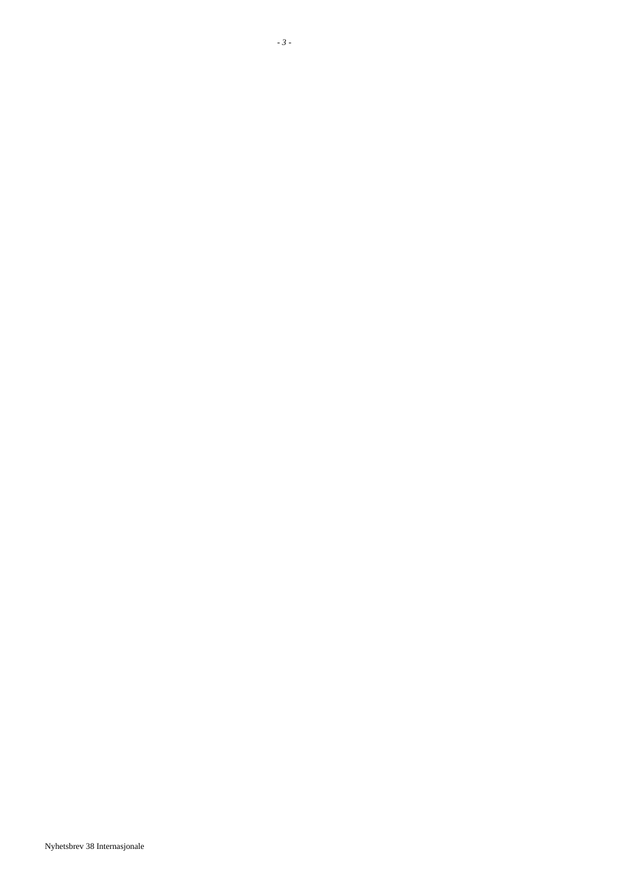